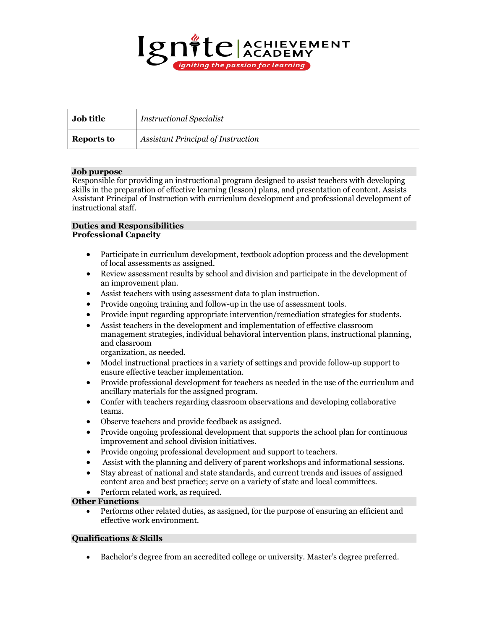

| <b>Job title</b> | <b>Instructional Specialist</b>           |
|------------------|-------------------------------------------|
| Reports to       | <b>Assistant Principal of Instruction</b> |

# **Job purpose**

Responsible for providing an instructional program designed to assist teachers with developing skills in the preparation of effective learning (lesson) plans, and presentation of content. Assists Assistant Principal of Instruction with curriculum development and professional development of instructional staff.

## **Duties and Responsibilities Professional Capacity**

- Participate in curriculum development, textbook adoption process and the development of local assessments as assigned.
- Review assessment results by school and division and participate in the development of an improvement plan.
- Assist teachers with using assessment data to plan instruction.
- Provide ongoing training and follow-up in the use of assessment tools.
- Provide input regarding appropriate intervention/remediation strategies for students.
- Assist teachers in the development and implementation of effective classroom management strategies, individual behavioral intervention plans, instructional planning, and classroom

organization, as needed.

- Model instructional practices in a variety of settings and provide follow-up support to ensure effective teacher implementation.
- Provide professional development for teachers as needed in the use of the curriculum and ancillary materials for the assigned program.
- Confer with teachers regarding classroom observations and developing collaborative teams.
- Observe teachers and provide feedback as assigned.
- Provide ongoing professional development that supports the school plan for continuous improvement and school division initiatives.
- Provide ongoing professional development and support to teachers.
- Assist with the planning and delivery of parent workshops and informational sessions.
- Stay abreast of national and state standards, and current trends and issues of assigned content area and best practice; serve on a variety of state and local committees.
- Perform related work, as required.

#### **Other Functions**

• Performs other related duties, as assigned, for the purpose of ensuring an efficient and effective work environment.

## **Qualifications & Skills**

• Bachelor's degree from an accredited college or university. Master's degree preferred.